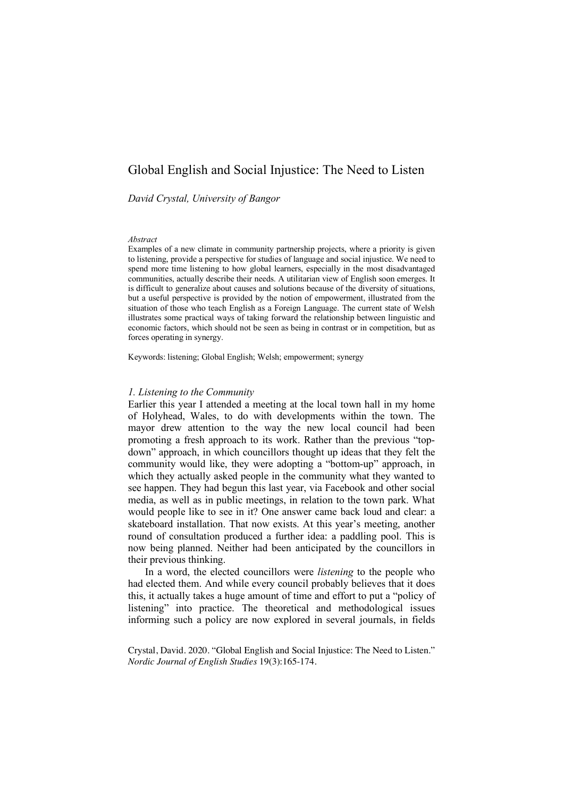# Global English and Social Injustice: The Need to Listen

*David Crystal, University of Bangor*

#### *Abstract*

Examples of a new climate in community partnership projects, where a priority is given to listening, provide a perspective for studies of language and social injustice. We need to spend more time listening to how global learners, especially in the most disadvantaged communities, actually describe their needs. A utilitarian view of English soon emerges. It is difficult to generalize about causes and solutions because of the diversity of situations, but a useful perspective is provided by the notion of empowerment, illustrated from the situation of those who teach English as a Foreign Language. The current state of Welsh illustrates some practical ways of taking forward the relationship between linguistic and economic factors, which should not be seen as being in contrast or in competition, but as forces operating in synergy.

Keywords: listening; Global English; Welsh; empowerment; synergy

#### *1. Listening to the Community*

Earlier this year I attended a meeting at the local town hall in my home of Holyhead, Wales, to do with developments within the town. The mayor drew attention to the way the new local council had been promoting a fresh approach to its work. Rather than the previous "topdown" approach, in which councillors thought up ideas that they felt the community would like, they were adopting a "bottom-up" approach, in which they actually asked people in the community what they wanted to see happen. They had begun this last year, via Facebook and other social media, as well as in public meetings, in relation to the town park. What would people like to see in it? One answer came back loud and clear: a skateboard installation. That now exists. At this year's meeting, another round of consultation produced a further idea: a paddling pool. This is now being planned. Neither had been anticipated by the councillors in their previous thinking.

In a word, the elected councillors were *listening* to the people who had elected them. And while every council probably believes that it does this, it actually takes a huge amount of time and effort to put a "policy of listening" into practice. The theoretical and methodological issues informing such a policy are now explored in several journals, in fields

Crystal, David. 2020. "Global English and Social Injustice: The Need to Listen." *Nordic Journal of English Studies* 19(3):165-174.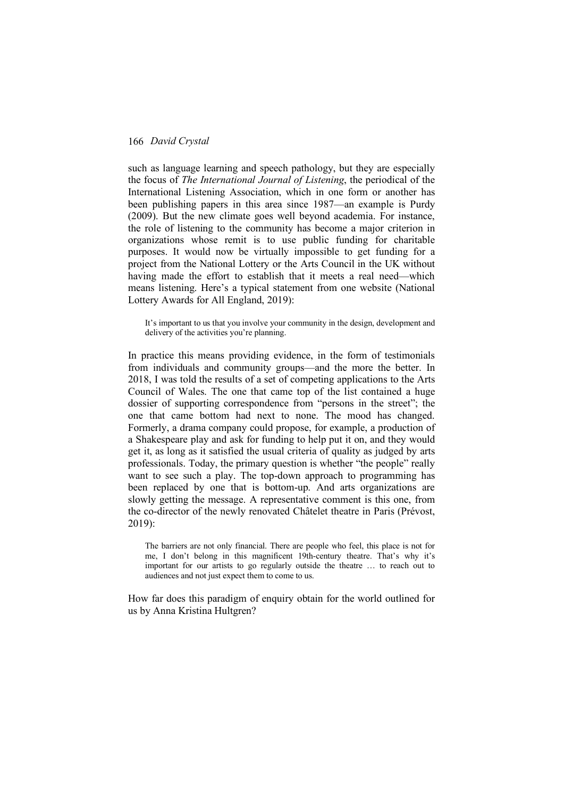such as language learning and speech pathology, but they are especially the focus of *The International Journal of Listening*, the periodical of the International Listening Association, which in one form or another has been publishing papers in this area since 1987—an example is Purdy (2009). But the new climate goes well beyond academia. For instance, the role of listening to the community has become a major criterion in organizations whose remit is to use public funding for charitable purposes. It would now be virtually impossible to get funding for a project from the National Lottery or the Arts Council in the UK without having made the effort to establish that it meets a real need—which means listening. Here's a typical statement from one website (National Lottery Awards for All England, 2019):

It's important to us that you involve your community in the design, development and delivery of the activities you're planning.

In practice this means providing evidence, in the form of testimonials from individuals and community groups—and the more the better. In 2018, I was told the results of a set of competing applications to the Arts Council of Wales. The one that came top of the list contained a huge dossier of supporting correspondence from "persons in the street"; the one that came bottom had next to none. The mood has changed. Formerly, a drama company could propose, for example, a production of a Shakespeare play and ask for funding to help put it on, and they would get it, as long as it satisfied the usual criteria of quality as judged by arts professionals. Today, the primary question is whether "the people" really want to see such a play. The top-down approach to programming has been replaced by one that is bottom-up. And arts organizations are slowly getting the message. A representative comment is this one, from the co-director of the newly renovated Châtelet theatre in Paris (Prévost, 2019):

The barriers are not only financial. There are people who feel, this place is not for me, I don't belong in this magnificent 19th-century theatre. That's why it's important for our artists to go regularly outside the theatre … to reach out to audiences and not just expect them to come to us.

How far does this paradigm of enquiry obtain for the world outlined for us by Anna Kristina Hultgren?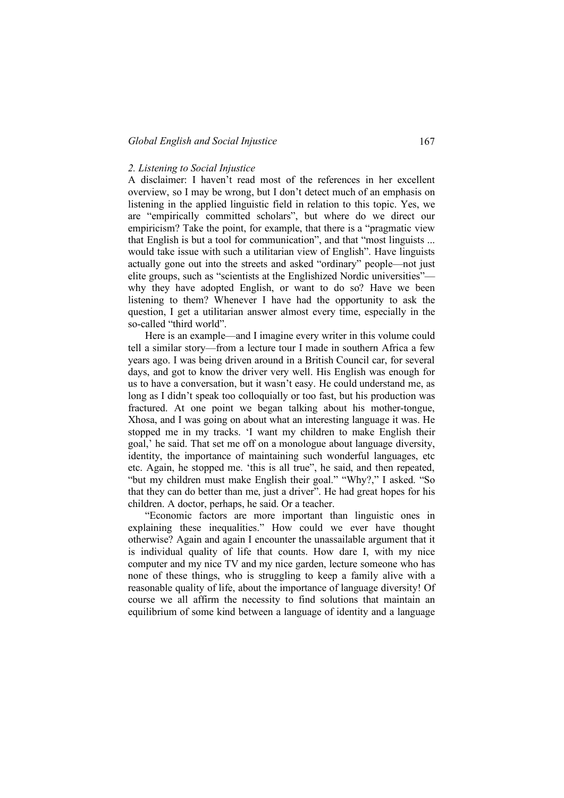### *2. Listening to Social Injustice*

A disclaimer: I haven't read most of the references in her excellent overview, so I may be wrong, but I don't detect much of an emphasis on listening in the applied linguistic field in relation to this topic. Yes, we are "empirically committed scholars", but where do we direct our empiricism? Take the point, for example, that there is a "pragmatic view that English is but a tool for communication", and that "most linguists ... would take issue with such a utilitarian view of English". Have linguists actually gone out into the streets and asked "ordinary" people—not just elite groups, such as "scientists at the Englishized Nordic universities" why they have adopted English, or want to do so? Have we been listening to them? Whenever I have had the opportunity to ask the question, I get a utilitarian answer almost every time, especially in the so-called "third world".

Here is an example—and I imagine every writer in this volume could tell a similar story—from a lecture tour I made in southern Africa a few years ago. I was being driven around in a British Council car, for several days, and got to know the driver very well. His English was enough for us to have a conversation, but it wasn't easy. He could understand me, as long as I didn't speak too colloquially or too fast, but his production was fractured. At one point we began talking about his mother-tongue, Xhosa, and I was going on about what an interesting language it was. He stopped me in my tracks. 'I want my children to make English their goal,' he said. That set me off on a monologue about language diversity, identity, the importance of maintaining such wonderful languages, etc etc. Again, he stopped me. 'this is all true", he said, and then repeated, "but my children must make English their goal." "Why?," I asked. "So that they can do better than me, just a driver". He had great hopes for his children. A doctor, perhaps, he said. Or a teacher.

"Economic factors are more important than linguistic ones in explaining these inequalities." How could we ever have thought otherwise? Again and again I encounter the unassailable argument that it is individual quality of life that counts. How dare I, with my nice computer and my nice TV and my nice garden, lecture someone who has none of these things, who is struggling to keep a family alive with a reasonable quality of life, about the importance of language diversity! Of course we all affirm the necessity to find solutions that maintain an equilibrium of some kind between a language of identity and a language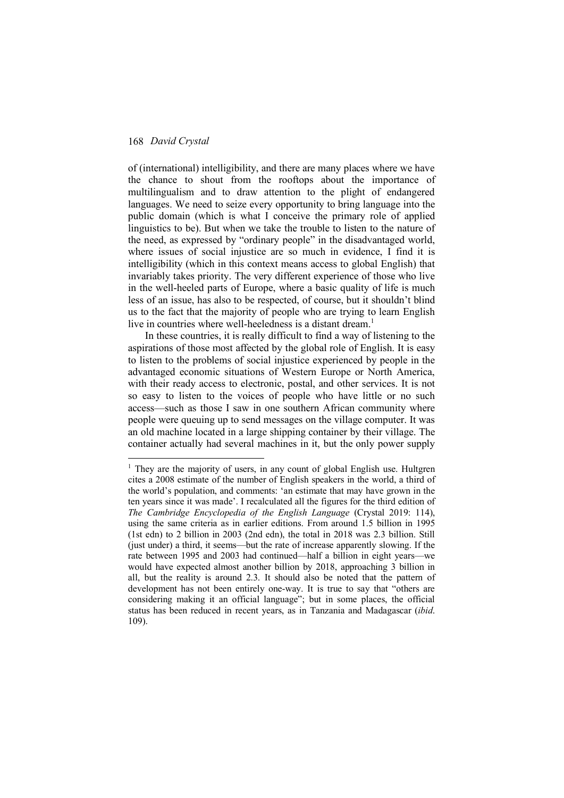of (international) intelligibility, and there are many places where we have the chance to shout from the rooftops about the importance of multilingualism and to draw attention to the plight of endangered languages. We need to seize every opportunity to bring language into the public domain (which is what I conceive the primary role of applied linguistics to be). But when we take the trouble to listen to the nature of the need, as expressed by "ordinary people" in the disadvantaged world, where issues of social injustice are so much in evidence, I find it is intelligibility (which in this context means access to global English) that invariably takes priority. The very different experience of those who live in the well-heeled parts of Europe, where a basic quality of life is much less of an issue, has also to be respected, of course, but it shouldn't blind us to the fact that the majority of people who are trying to learn English live in countries where well-heeledness is a distant dream.<sup>1</sup>

In these countries, it is really difficult to find a way of listening to the aspirations of those most affected by the global role of English. It is easy to listen to the problems of social injustice experienced by people in the advantaged economic situations of Western Europe or North America, with their ready access to electronic, postal, and other services. It is not so easy to listen to the voices of people who have little or no such access—such as those I saw in one southern African community where people were queuing up to send messages on the village computer. It was an old machine located in a large shipping container by their village. The container actually had several machines in it, but the only power supply

<sup>&</sup>lt;sup>1</sup> They are the majority of users, in any count of global English use. Hultgren cites a 2008 estimate of the number of English speakers in the world, a third of the world's population, and comments: 'an estimate that may have grown in the ten years since it was made'. I recalculated all the figures for the third edition of *The Cambridge Encyclopedia of the English Language* (Crystal 2019: 114), using the same criteria as in earlier editions. From around 1.5 billion in 1995 (1st edn) to 2 billion in 2003 (2nd edn), the total in 2018 was 2.3 billion. Still (just under) a third, it seems—but the rate of increase apparently slowing. If the rate between 1995 and 2003 had continued—half a billion in eight years—we would have expected almost another billion by 2018, approaching 3 billion in all, but the reality is around 2.3. It should also be noted that the pattern of development has not been entirely one-way. It is true to say that "others are considering making it an official language"; but in some places, the official status has been reduced in recent years, as in Tanzania and Madagascar (*ibid*. 109).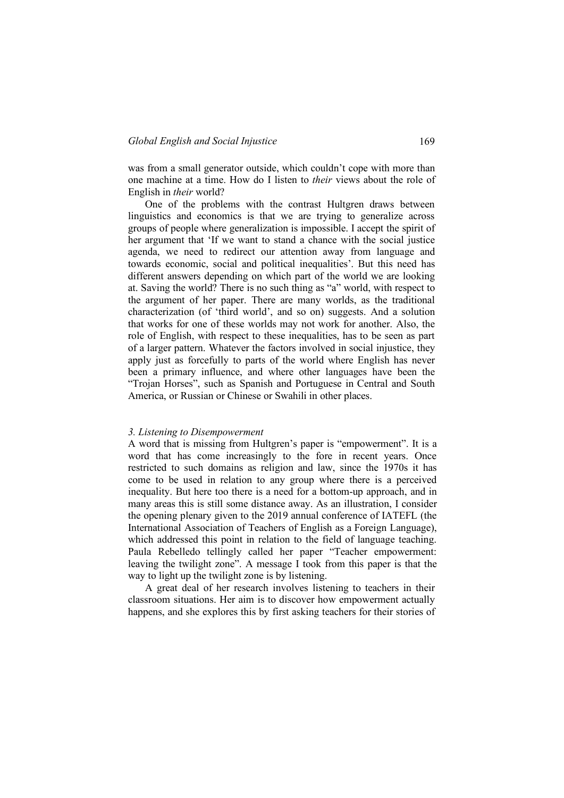was from a small generator outside, which couldn't cope with more than one machine at a time. How do I listen to *their* views about the role of English in *their* world?

One of the problems with the contrast Hultgren draws between linguistics and economics is that we are trying to generalize across groups of people where generalization is impossible. I accept the spirit of her argument that 'If we want to stand a chance with the social justice agenda, we need to redirect our attention away from language and towards economic, social and political inequalities'. But this need has different answers depending on which part of the world we are looking at. Saving the world? There is no such thing as "a" world, with respect to the argument of her paper. There are many worlds, as the traditional characterization (of 'third world', and so on) suggests. And a solution that works for one of these worlds may not work for another. Also, the role of English, with respect to these inequalities, has to be seen as part of a larger pattern. Whatever the factors involved in social injustice, they apply just as forcefully to parts of the world where English has never been a primary influence, and where other languages have been the "Trojan Horses", such as Spanish and Portuguese in Central and South America, or Russian or Chinese or Swahili in other places.

### *3. Listening to Disempowerment*

A word that is missing from Hultgren's paper is "empowerment". It is a word that has come increasingly to the fore in recent years. Once restricted to such domains as religion and law, since the 1970s it has come to be used in relation to any group where there is a perceived inequality. But here too there is a need for a bottom-up approach, and in many areas this is still some distance away. As an illustration, I consider the opening plenary given to the 2019 annual conference of IATEFL (the International Association of Teachers of English as a Foreign Language), which addressed this point in relation to the field of language teaching. Paula Rebelledo tellingly called her paper "Teacher empowerment: leaving the twilight zone". A message I took from this paper is that the way to light up the twilight zone is by listening.

A great deal of her research involves listening to teachers in their classroom situations. Her aim is to discover how empowerment actually happens, and she explores this by first asking teachers for their stories of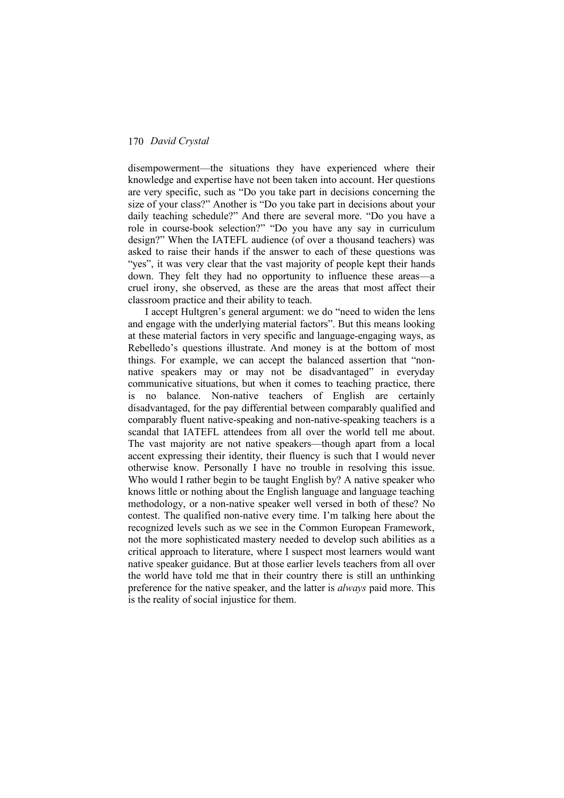disempowerment—the situations they have experienced where their knowledge and expertise have not been taken into account. Her questions are very specific, such as "Do you take part in decisions concerning the size of your class?" Another is "Do you take part in decisions about your daily teaching schedule?" And there are several more. "Do you have a role in course-book selection?" "Do you have any say in curriculum design?" When the IATEFL audience (of over a thousand teachers) was asked to raise their hands if the answer to each of these questions was "yes", it was very clear that the vast majority of people kept their hands down. They felt they had no opportunity to influence these areas—a cruel irony, she observed, as these are the areas that most affect their classroom practice and their ability to teach.

I accept Hultgren's general argument: we do "need to widen the lens and engage with the underlying material factors". But this means looking at these material factors in very specific and language-engaging ways, as Rebelledo's questions illustrate. And money is at the bottom of most things. For example, we can accept the balanced assertion that "nonnative speakers may or may not be disadvantaged" in everyday communicative situations, but when it comes to teaching practice, there is no balance. Non-native teachers of English are certainly disadvantaged, for the pay differential between comparably qualified and comparably fluent native-speaking and non-native-speaking teachers is a scandal that IATEFL attendees from all over the world tell me about. The vast majority are not native speakers—though apart from a local accent expressing their identity, their fluency is such that I would never otherwise know. Personally I have no trouble in resolving this issue. Who would I rather begin to be taught English by? A native speaker who knows little or nothing about the English language and language teaching methodology, or a non-native speaker well versed in both of these? No contest. The qualified non-native every time. I'm talking here about the recognized levels such as we see in the Common European Framework, not the more sophisticated mastery needed to develop such abilities as a critical approach to literature, where I suspect most learners would want native speaker guidance. But at those earlier levels teachers from all over the world have told me that in their country there is still an unthinking preference for the native speaker, and the latter is *always* paid more. This is the reality of social injustice for them.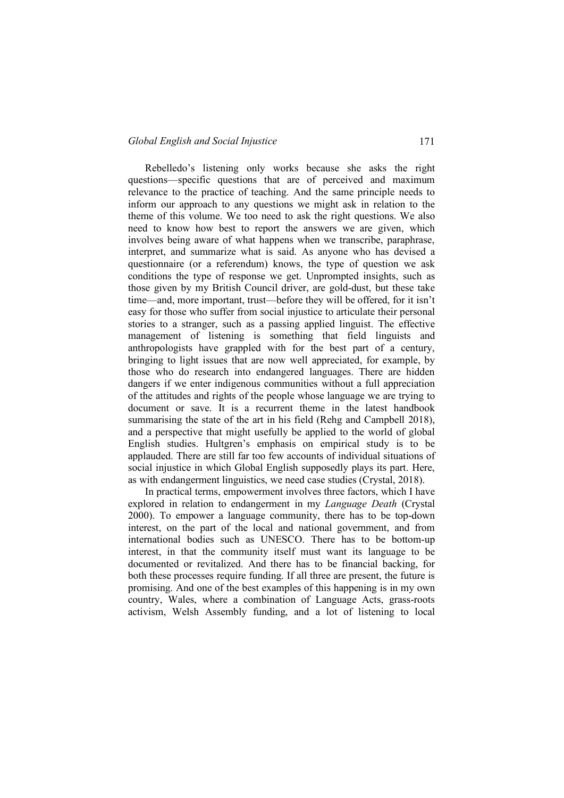### *Global English and Social Injustice* 171

Rebelledo's listening only works because she asks the right questions—specific questions that are of perceived and maximum relevance to the practice of teaching. And the same principle needs to inform our approach to any questions we might ask in relation to the theme of this volume. We too need to ask the right questions. We also need to know how best to report the answers we are given, which involves being aware of what happens when we transcribe, paraphrase, interpret, and summarize what is said. As anyone who has devised a questionnaire (or a referendum) knows, the type of question we ask conditions the type of response we get. Unprompted insights, such as those given by my British Council driver, are gold-dust, but these take time—and, more important, trust—before they will be offered, for it isn't easy for those who suffer from social injustice to articulate their personal stories to a stranger, such as a passing applied linguist. The effective management of listening is something that field linguists and anthropologists have grappled with for the best part of a century, bringing to light issues that are now well appreciated, for example, by those who do research into endangered languages. There are hidden dangers if we enter indigenous communities without a full appreciation of the attitudes and rights of the people whose language we are trying to document or save. It is a recurrent theme in the latest handbook summarising the state of the art in his field (Rehg and Campbell 2018), and a perspective that might usefully be applied to the world of global English studies. Hultgren's emphasis on empirical study is to be applauded. There are still far too few accounts of individual situations of social injustice in which Global English supposedly plays its part. Here, as with endangerment linguistics, we need case studies (Crystal, 2018).

In practical terms, empowerment involves three factors, which I have explored in relation to endangerment in my *Language Death* (Crystal 2000). To empower a language community, there has to be top-down interest, on the part of the local and national government, and from international bodies such as UNESCO. There has to be bottom-up interest, in that the community itself must want its language to be documented or revitalized. And there has to be financial backing, for both these processes require funding. If all three are present, the future is promising. And one of the best examples of this happening is in my own country, Wales, where a combination of Language Acts, grass-roots activism, Welsh Assembly funding, and a lot of listening to local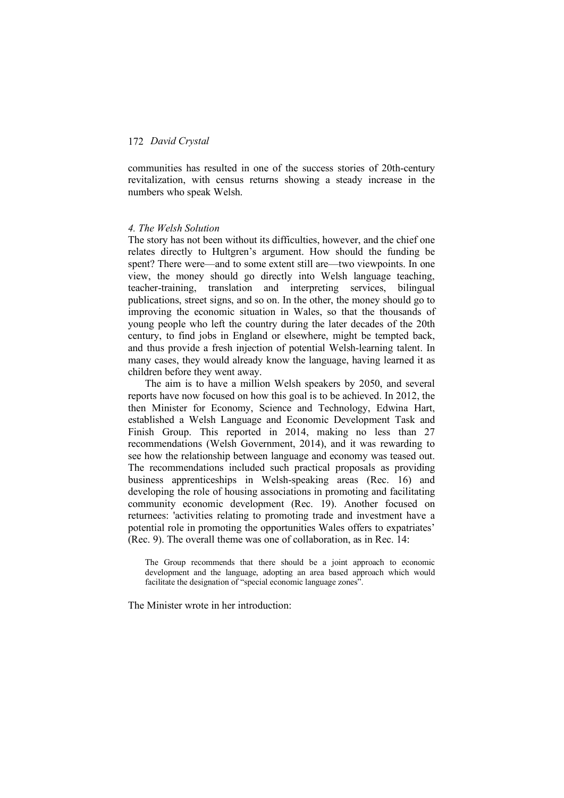communities has resulted in one of the success stories of 20th-century revitalization, with census returns showing a steady increase in the numbers who speak Welsh.

#### *4. The Welsh Solution*

The story has not been without its difficulties, however, and the chief one relates directly to Hultgren's argument. How should the funding be spent? There were—and to some extent still are—two viewpoints. In one view, the money should go directly into Welsh language teaching, teacher-training, translation and interpreting services, bilingual publications, street signs, and so on. In the other, the money should go to improving the economic situation in Wales, so that the thousands of young people who left the country during the later decades of the 20th century, to find jobs in England or elsewhere, might be tempted back, and thus provide a fresh injection of potential Welsh-learning talent. In many cases, they would already know the language, having learned it as children before they went away.

The aim is to have a million Welsh speakers by 2050, and several reports have now focused on how this goal is to be achieved. In 2012, the then Minister for Economy, Science and Technology, Edwina Hart, established a Welsh Language and Economic Development Task and Finish Group. This reported in 2014, making no less than 27 recommendations (Welsh Government, 2014), and it was rewarding to see how the relationship between language and economy was teased out. The recommendations included such practical proposals as providing business apprenticeships in Welsh-speaking areas (Rec. 16) and developing the role of housing associations in promoting and facilitating community economic development (Rec. 19). Another focused on returnees: 'activities relating to promoting trade and investment have a potential role in promoting the opportunities Wales offers to expatriates' (Rec. 9). The overall theme was one of collaboration, as in Rec. 14:

The Group recommends that there should be a joint approach to economic development and the language, adopting an area based approach which would facilitate the designation of "special economic language zones".

The Minister wrote in her introduction: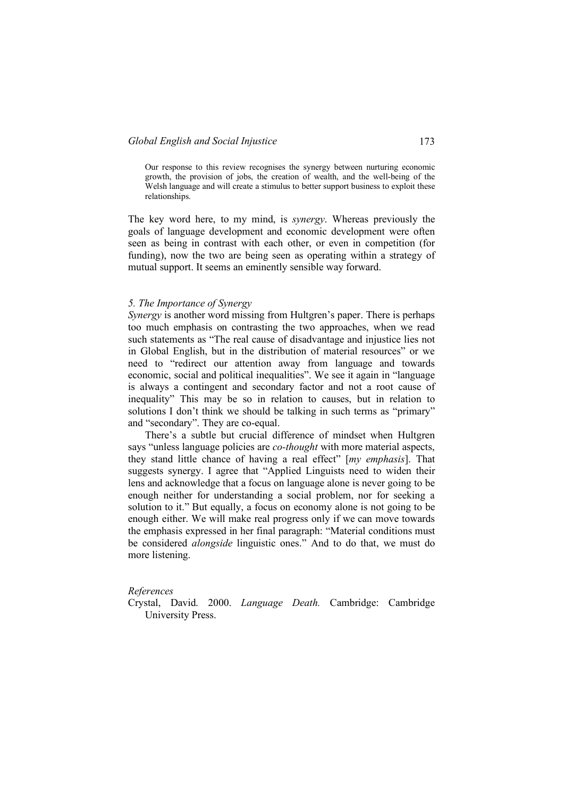Our response to this review recognises the synergy between nurturing economic growth, the provision of jobs, the creation of wealth, and the well-being of the Welsh language and will create a stimulus to better support business to exploit these relationships.

The key word here, to my mind, is *synergy*. Whereas previously the goals of language development and economic development were often seen as being in contrast with each other, or even in competition (for funding), now the two are being seen as operating within a strategy of mutual support. It seems an eminently sensible way forward.

### *5. The Importance of Synergy*

*Synergy* is another word missing from Hultgren's paper. There is perhaps too much emphasis on contrasting the two approaches, when we read such statements as "The real cause of disadvantage and injustice lies not in Global English, but in the distribution of material resources" or we need to "redirect our attention away from language and towards economic, social and political inequalities". We see it again in "language is always a contingent and secondary factor and not a root cause of inequality" This may be so in relation to causes, but in relation to solutions I don't think we should be talking in such terms as "primary" and "secondary". They are co-equal.

There's a subtle but crucial difference of mindset when Hultgren says "unless language policies are *co-thought* with more material aspects, they stand little chance of having a real effect" [*my emphasis*]. That suggests synergy. I agree that "Applied Linguists need to widen their lens and acknowledge that a focus on language alone is never going to be enough neither for understanding a social problem, nor for seeking a solution to it." But equally, a focus on economy alone is not going to be enough either. We will make real progress only if we can move towards the emphasis expressed in her final paragraph: "Material conditions must be considered *alongside* linguistic ones." And to do that, we must do more listening.

#### *References*

Crystal, David. 2000. *Language Death.* Cambridge: Cambridge University Press.